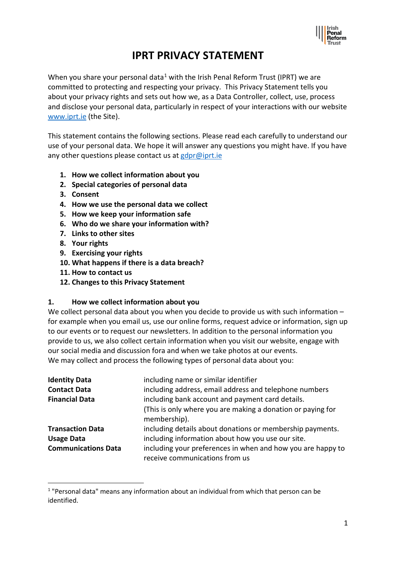

# **IPRT PRIVACY STATEMENT**

When you share your personal data<sup>[1](#page-0-0)</sup> with the Irish Penal Reform Trust (IPRT) we are committed to protecting and respecting your privacy. This Privacy Statement tells you about your privacy rights and sets out how we, as a Data Controller, collect, use, process and disclose your personal data, particularly in respect of your interactions with our website [www.iprt.ie](http://www.iprt.ie/) (the Site).

This statement contains the following sections. Please read each carefully to understand our use of your personal data. We hope it will answer any questions you might have. If you have any other questions please contact us at [gdpr@iprt.ie](mailto:gdpr@iprt.ie)

- **1. How we collect information about you**
- **2. Special categories of personal data**
- **3. Consent**
- **4. How we use the personal data we collect**
- **5. How we keep your information safe**
- **6. Who do we share your information with?**
- **7. Links to other sites**
- **8. Your rights**
- **9. Exercising your rights**
- **10. What happens if there is a data breach?**
- **11. How to contact us**
- **12. Changes to this Privacy Statement**

#### **1. How we collect information about you**

We collect personal data about you when you decide to provide us with such information – for example when you email us, use our online forms, request advice or information, sign up to our events or to request our newsletters. In addition to the personal information you provide to us, we also collect certain information when you visit our website, engage with our social media and discussion fora and when we take photos at our events. We may collect and process the following types of personal data about you:

| <b>Identity Data</b>       | including name or similar identifier                                                          |
|----------------------------|-----------------------------------------------------------------------------------------------|
| <b>Contact Data</b>        | including address, email address and telephone numbers                                        |
| <b>Financial Data</b>      | including bank account and payment card details.                                              |
|                            | (This is only where you are making a donation or paying for<br>membership).                   |
| <b>Transaction Data</b>    | including details about donations or membership payments.                                     |
| <b>Usage Data</b>          | including information about how you use our site.                                             |
| <b>Communications Data</b> | including your preferences in when and how you are happy to<br>receive communications from us |

<span id="page-0-0"></span><sup>1</sup> "Personal data" means any information about an individual from which that person can be identified.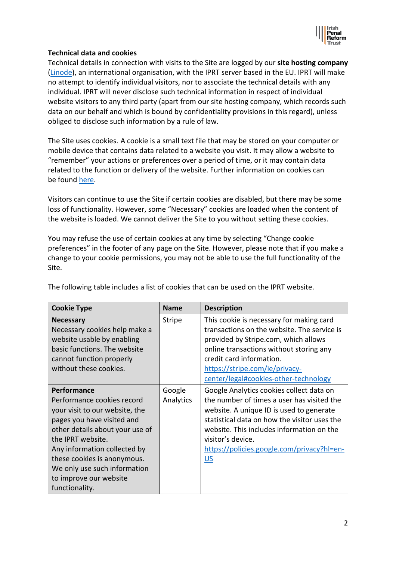

# **Technical data and cookies**

Technical details in connection with visits to the Site are logged by our **site hosting company** [\(Linode\)](https://www.linode.com/), an international organisation, with the IPRT server based in the EU. IPRT will make no attempt to identify individual visitors, nor to associate the technical details with any individual. IPRT will never disclose such technical information in respect of individual website visitors to any third party (apart from our site hosting company, which records such data on our behalf and which is bound by confidentiality provisions in this regard), unless obliged to disclose such information by a rule of law.

The Site uses cookies. A cookie is a small text file that may be stored on your computer or mobile device that contains data related to a website you visit. It may allow a website to "remember" your actions or preferences over a period of time, or it may contain data related to the function or delivery of the website. Further information on cookies can be found [here.](https://wikis.ec.europa.eu/display/WEBGUIDE/04.+Cookies)

Visitors can continue to use the Site if certain cookies are disabled, but there may be some loss of functionality. However, some "Necessary" cookies are loaded when the content of the website is loaded. We cannot deliver the Site to you without setting these cookies.

You may refuse the use of certain cookies at any time by selecting "Change cookie preferences" in the footer of any page on the Site. However, please note that if you make a change to your cookie permissions, you may not be able to use the full functionality of the Site.

| <b>Cookie Type</b>              | <b>Name</b>   | <b>Description</b>                           |
|---------------------------------|---------------|----------------------------------------------|
| <b>Necessary</b>                | <b>Stripe</b> | This cookie is necessary for making card     |
| Necessary cookies help make a   |               | transactions on the website. The service is  |
| website usable by enabling      |               | provided by Stripe.com, which allows         |
| basic functions. The website    |               | online transactions without storing any      |
| cannot function properly        |               | credit card information.                     |
| without these cookies.          |               | https://stripe.com/ie/privacy-               |
|                                 |               | center/legal#cookies-other-technology        |
| <b>Performance</b>              | Google        | Google Analytics cookies collect data on     |
| Performance cookies record      | Analytics     | the number of times a user has visited the   |
| your visit to our website, the  |               | website. A unique ID is used to generate     |
| pages you have visited and      |               | statistical data on how the visitor uses the |
| other details about your use of |               | website. This includes information on the    |
| the IPRT website.               |               | visitor's device.                            |
| Any information collected by    |               | https://policies.google.com/privacy?hl=en-   |
| these cookies is anonymous.     |               | <u>US</u>                                    |
| We only use such information    |               |                                              |
| to improve our website          |               |                                              |
| functionality.                  |               |                                              |

The following table includes a list of cookies that can be used on the IPRT website.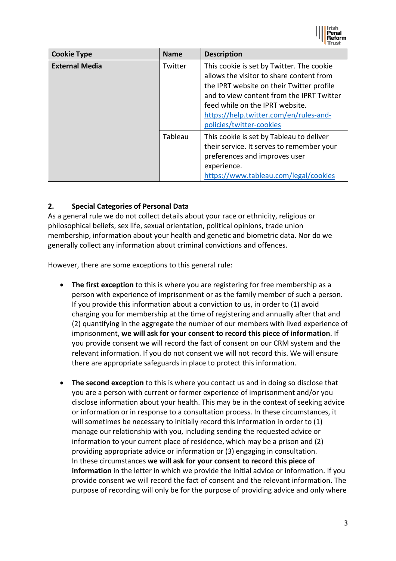

| <b>Cookie Type</b>    | <b>Name</b> | <b>Description</b>                                                                                                                                                                                                                                                                       |
|-----------------------|-------------|------------------------------------------------------------------------------------------------------------------------------------------------------------------------------------------------------------------------------------------------------------------------------------------|
| <b>External Media</b> | Twitter     | This cookie is set by Twitter. The cookie<br>allows the visitor to share content from<br>the IPRT website on their Twitter profile<br>and to view content from the IPRT Twitter<br>feed while on the IPRT website.<br>https://help.twitter.com/en/rules-and-<br>policies/twitter-cookies |
|                       | Tableau     | This cookie is set by Tableau to deliver<br>their service. It serves to remember your<br>preferences and improves user<br>experience.<br>https://www.tableau.com/legal/cookies                                                                                                           |

### **2. Special Categories of Personal Data**

As a general rule we do not collect details about your race or ethnicity, religious or philosophical beliefs, sex life, sexual orientation, political opinions, trade union membership, information about your health and genetic and biometric data. Nor do we generally collect any information about criminal convictions and offences.

However, there are some exceptions to this general rule:

- **The first exception** to this is where you are registering for free membership as a person with experience of imprisonment or as the family member of such a person. If you provide this information about a conviction to us, in order to (1) avoid charging you for membership at the time of registering and annually after that and (2) quantifying in the aggregate the number of our members with lived experience of imprisonment, **we will ask for your consent to record this piece of information**. If you provide consent we will record the fact of consent on our CRM system and the relevant information. If you do not consent we will not record this. We will ensure there are appropriate safeguards in place to protect this information.
- **The second exception** to this is where you contact us and in doing so disclose that you are a person with current or former experience of imprisonment and/or you disclose information about your health. This may be in the context of seeking advice or information or in response to a consultation process. In these circumstances, it will sometimes be necessary to initially record this information in order to (1) manage our relationship with you, including sending the requested advice or information to your current place of residence, which may be a prison and (2) providing appropriate advice or information or (3) engaging in consultation. In these circumstances **we will ask for your consent to record this piece of information** in the letter in which we provide the initial advice or information. If you provide consent we will record the fact of consent and the relevant information. The purpose of recording will only be for the purpose of providing advice and only where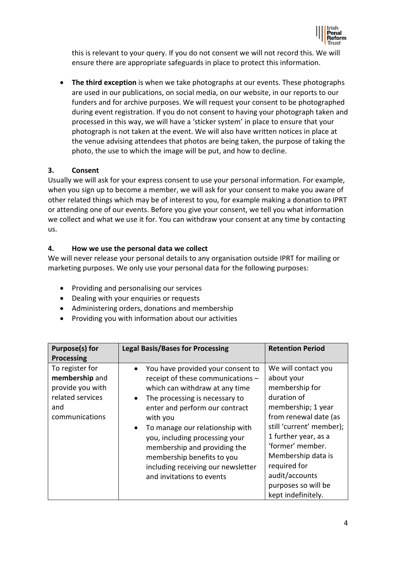

this is relevant to your query. If you do not consent we will not record this. We will ensure there are appropriate safeguards in place to protect this information.

• **The third exception** is when we take photographs at our events. These photographs are used in our publications, on social media, on our website, in our reports to our funders and for archive purposes. We will request your consent to be photographed during event registration. If you do not consent to having your photograph taken and processed in this way, we will have a 'sticker system' in place to ensure that your photograph is not taken at the event. We will also have written notices in place at the venue advising attendees that photos are being taken, the purpose of taking the photo, the use to which the image will be put, and how to decline.

### **3. Consent**

Usually we will ask for your express consent to use your personal information. For example, when you sign up to become a member, we will ask for your consent to make you aware of other related things which may be of interest to you, for example making a donation to IPRT or attending one of our events. Before you give your consent, we tell you what information we collect and what we use it for. You can withdraw your consent at any time by contacting us.

# **4. How we use the personal data we collect**

We will never release your personal details to any organisation outside IPRT for mailing or marketing purposes. We only use your personal data for the following purposes:

- Providing and personalising our services
- Dealing with your enquiries or requests
- Administering orders, donations and membership
- Providing you with information about our activities

| <b>Purpose(s) for</b><br><b>Processing</b>                                                         | <b>Legal Basis/Bases for Processing</b>                                                                                                                                                                                                                                                                                                                                                                                               | <b>Retention Period</b>                                                                                                                                                                                                                                                                        |
|----------------------------------------------------------------------------------------------------|---------------------------------------------------------------------------------------------------------------------------------------------------------------------------------------------------------------------------------------------------------------------------------------------------------------------------------------------------------------------------------------------------------------------------------------|------------------------------------------------------------------------------------------------------------------------------------------------------------------------------------------------------------------------------------------------------------------------------------------------|
| To register for<br>membership and<br>provide you with<br>related services<br>and<br>communications | You have provided your consent to<br>$\bullet$<br>receipt of these communications -<br>which can withdraw at any time<br>The processing is necessary to<br>$\bullet$<br>enter and perform our contract<br>with you<br>To manage our relationship with<br>$\bullet$<br>you, including processing your<br>membership and providing the<br>membership benefits to you<br>including receiving our newsletter<br>and invitations to events | We will contact you<br>about your<br>membership for<br>duration of<br>membership; 1 year<br>from renewal date (as<br>still 'current' member);<br>1 further year, as a<br>'former' member.<br>Membership data is<br>required for<br>audit/accounts<br>purposes so will be<br>kept indefinitely. |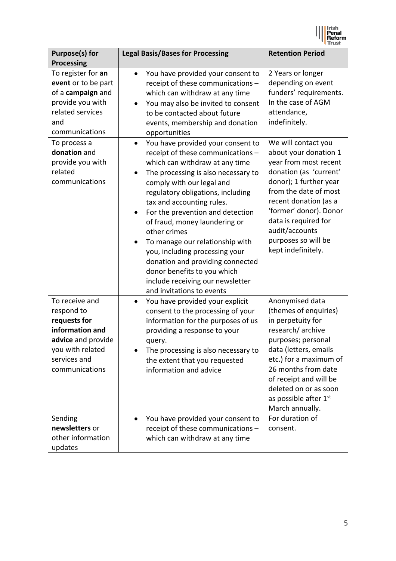

| Purpose(s) for                                                                                                                              | <b>Legal Basis/Bases for Processing</b>                                                                                                                                                                                                                                                                                                                                                                                                                                                                                                                                | <b>Retention Period</b>                                                                                                                                                                                                                                                                      |
|---------------------------------------------------------------------------------------------------------------------------------------------|------------------------------------------------------------------------------------------------------------------------------------------------------------------------------------------------------------------------------------------------------------------------------------------------------------------------------------------------------------------------------------------------------------------------------------------------------------------------------------------------------------------------------------------------------------------------|----------------------------------------------------------------------------------------------------------------------------------------------------------------------------------------------------------------------------------------------------------------------------------------------|
| <b>Processing</b>                                                                                                                           |                                                                                                                                                                                                                                                                                                                                                                                                                                                                                                                                                                        |                                                                                                                                                                                                                                                                                              |
| To register for an<br>event or to be part<br>of a campaign and<br>provide you with<br>related services<br>and<br>communications             | You have provided your consent to<br>$\bullet$<br>receipt of these communications -<br>which can withdraw at any time<br>You may also be invited to consent<br>to be contacted about future<br>events, membership and donation<br>opportunities                                                                                                                                                                                                                                                                                                                        | 2 Years or longer<br>depending on event<br>funders' requirements.<br>In the case of AGM<br>attendance,<br>indefinitely.                                                                                                                                                                      |
| To process a<br>donation and<br>provide you with<br>related<br>communications                                                               | You have provided your consent to<br>$\bullet$<br>receipt of these communications -<br>which can withdraw at any time<br>The processing is also necessary to<br>comply with our legal and<br>regulatory obligations, including<br>tax and accounting rules.<br>For the prevention and detection<br>of fraud, money laundering or<br>other crimes<br>To manage our relationship with<br>$\bullet$<br>you, including processing your<br>donation and providing connected<br>donor benefits to you which<br>include receiving our newsletter<br>and invitations to events | We will contact you<br>about your donation 1<br>year from most recent<br>donation (as 'current'<br>donor); 1 further year<br>from the date of most<br>recent donation (as a<br>'former' donor). Donor<br>data is required for<br>audit/accounts<br>purposes so will be<br>kept indefinitely. |
| To receive and<br>respond to<br>requests for<br>information and<br>advice and provide<br>you with related<br>services and<br>communications | You have provided your explicit<br>$\bullet$<br>consent to the processing of your<br>information for the purposes of us<br>providing a response to your<br>query.<br>The processing is also necessary to<br>the extent that you requested<br>information and advice                                                                                                                                                                                                                                                                                                    | Anonymised data<br>(themes of enquiries)<br>in perpetuity for<br>research/archive<br>purposes; personal<br>data (letters, emails<br>etc.) for a maximum of<br>26 months from date<br>of receipt and will be<br>deleted on or as soon<br>as possible after 1st<br>March annually.             |
| Sending<br>newsletters or<br>other information<br>updates                                                                                   | You have provided your consent to<br>$\bullet$<br>receipt of these communications -<br>which can withdraw at any time                                                                                                                                                                                                                                                                                                                                                                                                                                                  | For duration of<br>consent.                                                                                                                                                                                                                                                                  |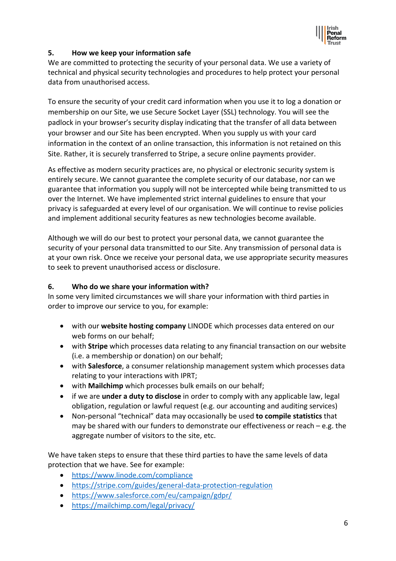

# **5. How we keep your information safe**

We are committed to protecting the security of your personal data. We use a variety of technical and physical security technologies and procedures to help protect your personal data from unauthorised access.

To ensure the security of your credit card information when you use it to log a donation or membership on our Site, we use Secure Socket Layer (SSL) technology. You will see the padlock in your browser's security display indicating that the transfer of all data between your browser and our Site has been encrypted. When you supply us with your card information in the context of an online transaction, this information is not retained on this Site. Rather, it is securely transferred to Stripe, a secure online payments provider.

As effective as modern security practices are, no physical or electronic security system is entirely secure. We cannot guarantee the complete security of our database, nor can we guarantee that information you supply will not be intercepted while being transmitted to us over the Internet. We have implemented strict internal guidelines to ensure that your privacy is safeguarded at every level of our organisation. We will continue to revise policies and implement additional security features as new technologies become available.

Although we will do our best to protect your personal data, we cannot guarantee the security of your personal data transmitted to our Site. Any transmission of personal data is at your own risk. Once we receive your personal data, we use appropriate security measures to seek to prevent unauthorised access or disclosure.

### **6. Who do we share your information with?**

In some very limited circumstances we will share your information with third parties in order to improve our service to you, for example:

- with our **website hosting company** LINODE which processes data entered on our web forms on our behalf;
- with **Stripe** which processes data relating to any financial transaction on our website (i.e. a membership or donation) on our behalf;
- with **Salesforce**, a consumer relationship management system which processes data relating to your interactions with IPRT;
- with **Mailchimp** which processes bulk emails on our behalf;
- if we are **under a duty to disclose** in order to comply with any applicable law, legal obligation, regulation or lawful request (e.g. our accounting and auditing services)
- Non-personal "technical" data may occasionally be used **to compile statistics** that may be shared with our funders to demonstrate our effectiveness or reach – e.g. the aggregate number of visitors to the site, etc.

We have taken steps to ensure that these third parties to have the same levels of data protection that we have. See for example:

- <https://www.linode.com/compliance>
- <https://stripe.com/guides/general-data-protection-regulation>
- <https://www.salesforce.com/eu/campaign/gdpr/>
- <https://mailchimp.com/legal/privacy/>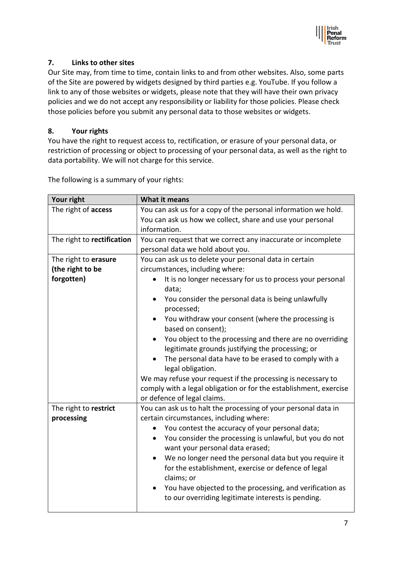

# **7. Links to other sites**

Our Site may, from time to time, contain links to and from other websites. Also, some parts of the Site are powered by widgets designed by third parties e.g. YouTube. If you follow a link to any of those websites or widgets, please note that they will have their own privacy policies and we do not accept any responsibility or liability for those policies. Please check those policies before you submit any personal data to those websites or widgets.

### **8. Your rights**

You have the right to request access to, rectification, or erasure of your personal data, or restriction of processing or object to processing of your personal data, as well as the right to data portability. We will not charge for this service.

| Your right                 | What it means                                                                                                                                                        |  |  |
|----------------------------|----------------------------------------------------------------------------------------------------------------------------------------------------------------------|--|--|
| The right of access        | You can ask us for a copy of the personal information we hold.                                                                                                       |  |  |
|                            | You can ask us how we collect, share and use your personal                                                                                                           |  |  |
|                            | information.                                                                                                                                                         |  |  |
| The right to rectification | You can request that we correct any inaccurate or incomplete                                                                                                         |  |  |
|                            | personal data we hold about you.                                                                                                                                     |  |  |
| The right to erasure       | You can ask us to delete your personal data in certain                                                                                                               |  |  |
| (the right to be           | circumstances, including where:                                                                                                                                      |  |  |
| forgotten)                 | It is no longer necessary for us to process your personal<br>data;                                                                                                   |  |  |
|                            | You consider the personal data is being unlawfully<br>processed;                                                                                                     |  |  |
|                            | You withdraw your consent (where the processing is<br>$\bullet$<br>based on consent);                                                                                |  |  |
|                            | You object to the processing and there are no overriding<br>legitimate grounds justifying the processing; or<br>The personal data have to be erased to comply with a |  |  |
|                            | legal obligation.                                                                                                                                                    |  |  |
|                            | We may refuse your request if the processing is necessary to<br>comply with a legal obligation or for the establishment, exercise<br>or defence of legal claims.     |  |  |
| The right to restrict      | You can ask us to halt the processing of your personal data in                                                                                                       |  |  |
| processing                 | certain circumstances, including where:                                                                                                                              |  |  |
|                            | You contest the accuracy of your personal data;                                                                                                                      |  |  |
|                            | You consider the processing is unlawful, but you do not<br>$\bullet$<br>want your personal data erased;                                                              |  |  |
|                            | We no longer need the personal data but you require it<br>for the establishment, exercise or defence of legal<br>claims; or                                          |  |  |
|                            | You have objected to the processing, and verification as<br>$\bullet$<br>to our overriding legitimate interests is pending.                                          |  |  |

The following is a summary of your rights: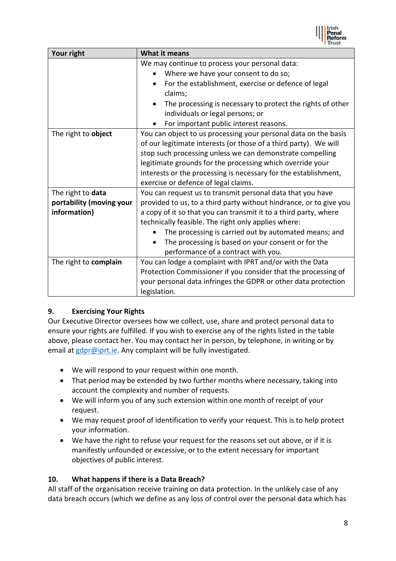

| Your right               | What it means                                                                                                                                                                                                                                                                                                                                                            |  |  |
|--------------------------|--------------------------------------------------------------------------------------------------------------------------------------------------------------------------------------------------------------------------------------------------------------------------------------------------------------------------------------------------------------------------|--|--|
|                          | We may continue to process your personal data:                                                                                                                                                                                                                                                                                                                           |  |  |
|                          | Where we have your consent to do so;<br>$\bullet$                                                                                                                                                                                                                                                                                                                        |  |  |
|                          | For the establishment, exercise or defence of legal<br>$\bullet$                                                                                                                                                                                                                                                                                                         |  |  |
|                          | claims;                                                                                                                                                                                                                                                                                                                                                                  |  |  |
|                          | The processing is necessary to protect the rights of other                                                                                                                                                                                                                                                                                                               |  |  |
|                          | individuals or legal persons; or                                                                                                                                                                                                                                                                                                                                         |  |  |
|                          | For important public interest reasons.                                                                                                                                                                                                                                                                                                                                   |  |  |
| The right to object      | You can object to us processing your personal data on the basis<br>of our legitimate interests (or those of a third party). We will<br>stop such processing unless we can demonstrate compelling<br>legitimate grounds for the processing which override your<br>interests or the processing is necessary for the establishment,<br>exercise or defence of legal claims. |  |  |
| The right to data        | You can request us to transmit personal data that you have                                                                                                                                                                                                                                                                                                               |  |  |
| portability (moving your | provided to us, to a third party without hindrance, or to give you                                                                                                                                                                                                                                                                                                       |  |  |
| information)             | a copy of it so that you can transmit it to a third party, where                                                                                                                                                                                                                                                                                                         |  |  |
|                          | technically feasible. The right only applies where:                                                                                                                                                                                                                                                                                                                      |  |  |
|                          | The processing is carried out by automated means; and                                                                                                                                                                                                                                                                                                                    |  |  |
|                          | The processing is based on your consent or for the<br>$\bullet$                                                                                                                                                                                                                                                                                                          |  |  |
|                          | performance of a contract with you.                                                                                                                                                                                                                                                                                                                                      |  |  |
| The right to complain    | You can lodge a complaint with IPRT and/or with the Data                                                                                                                                                                                                                                                                                                                 |  |  |
|                          | Protection Commissioner if you consider that the processing of                                                                                                                                                                                                                                                                                                           |  |  |
|                          | your personal data infringes the GDPR or other data protection                                                                                                                                                                                                                                                                                                           |  |  |
|                          | legislation.                                                                                                                                                                                                                                                                                                                                                             |  |  |

### **9. Exercising Your Rights**

Our Executive Director oversees how we collect, use, share and protect personal data to ensure your rights are fulfilled. If you wish to exercise any of the rights listed in the table above, please contact her. You may contact her in person, by telephone, in writing or by email at [gdpr@iprt.ie.](mailto:gdpr@iprt.ie) Any complaint will be fully investigated.

- We will respond to your request within one month.
- That period may be extended by two further months where necessary, taking into account the complexity and number of requests.
- We will inform you of any such extension within one month of receipt of your request.
- We may request proof of identification to verify your request. This is to help protect your information.
- We have the right to refuse your request for the reasons set out above, or if it is manifestly unfounded or excessive, or to the extent necessary for important objectives of public interest.

### **10. What happens if there is a Data Breach?**

All staff of the organisation receive training on data protection. In the unlikely case of any data breach occurs (which we define as any loss of control over the personal data which has